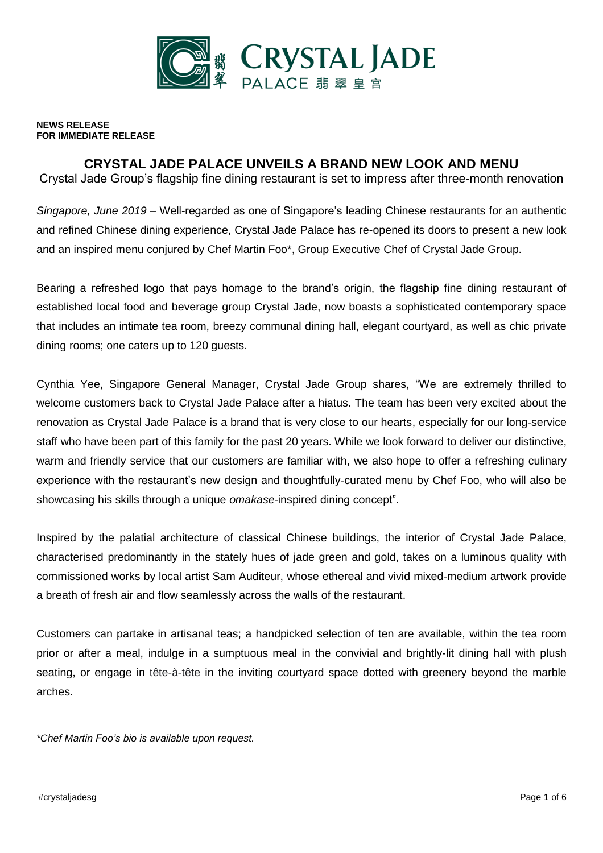

**NEWS RELEASE FOR IMMEDIATE RELEASE**

# **CRYSTAL JADE PALACE UNVEILS A BRAND NEW LOOK AND MENU**

Crystal Jade Group's flagship fine dining restaurant is set to impress after three-month renovation

*Singapore, June 2019* – Well-regarded as one of Singapore's leading Chinese restaurants for an authentic and refined Chinese dining experience, Crystal Jade Palace has re-opened its doors to present a new look and an inspired menu conjured by Chef Martin Foo\*, Group Executive Chef of Crystal Jade Group.

Bearing a refreshed logo that pays homage to the brand's origin, the flagship fine dining restaurant of established local food and beverage group Crystal Jade, now boasts a sophisticated contemporary space that includes an intimate tea room, breezy communal dining hall, elegant courtyard, as well as chic private dining rooms; one caters up to 120 guests.

Cynthia Yee, Singapore General Manager, Crystal Jade Group shares, "We are extremely thrilled to welcome customers back to Crystal Jade Palace after a hiatus. The team has been very excited about the renovation as Crystal Jade Palace is a brand that is very close to our hearts, especially for our long-service staff who have been part of this family for the past 20 years. While we look forward to deliver our distinctive, warm and friendly service that our customers are familiar with, we also hope to offer a refreshing culinary experience with the restaurant's new design and thoughtfully-curated menu by Chef Foo, who will also be showcasing his skills through a unique *omakase*-inspired dining concept".

Inspired by the palatial architecture of classical Chinese buildings, the interior of Crystal Jade Palace, characterised predominantly in the stately hues of jade green and gold, takes on a luminous quality with commissioned works by local artist Sam Auditeur, whose ethereal and vivid mixed-medium artwork provide a breath of fresh air and flow seamlessly across the walls of the restaurant.

Customers can partake in artisanal teas; a handpicked selection of ten are available, within the tea room prior or after a meal, indulge in a sumptuous meal in the convivial and brightly-lit dining hall with plush seating, or engage in tête-à-tête in the inviting courtyard space dotted with greenery beyond the marble arches.

*\*Chef Martin Foo's bio is available upon request.*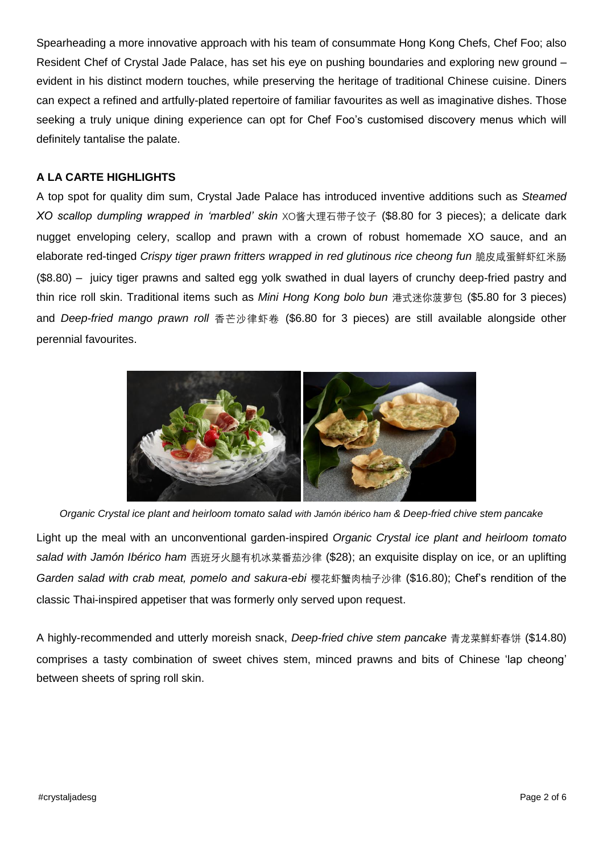Spearheading a more innovative approach with his team of consummate Hong Kong Chefs, Chef Foo; also Resident Chef of Crystal Jade Palace, has set his eye on pushing boundaries and exploring new ground – evident in his distinct modern touches, while preserving the heritage of traditional Chinese cuisine. Diners can expect a refined and artfully-plated repertoire of familiar favourites as well as imaginative dishes. Those seeking a truly unique dining experience can opt for Chef Foo's customised discovery menus which will definitely tantalise the palate.

## **A LA CARTE HIGHLIGHTS**

A top spot for quality dim sum, Crystal Jade Palace has introduced inventive additions such as *Steamed XO scallop dumpling wrapped in 'marbled' skin* XO酱大理石带子饺子 (\$8.80 for 3 pieces); a delicate dark nugget enveloping celery, scallop and prawn with a crown of robust homemade XO sauce, and an elaborate red-tinged *Crispy tiger prawn fritters wrapped in red glutinous rice cheong fun* 脆皮咸蛋鲜虾红米肠 (\$8.80) – juicy tiger prawns and salted egg yolk swathed in dual layers of crunchy deep-fried pastry and thin rice roll skin. Traditional items such as *Mini Hong Kong bolo bun* 港式迷你菠萝包 (\$5.80 for 3 pieces) and *Deep-fried mango prawn roll* 香芒沙律虾卷 (\$6.80 for 3 pieces) are still available alongside other perennial favourites.



*Organic Crystal ice plant and heirloom tomato salad with Jamón ibérico ham & Deep-fried chive stem pancake*

Light up the meal with an unconventional garden-inspired *Organic Crystal ice plant and heirloom tomato salad with Jamón Ibérico ham* 西班牙火腿有机冰菜番茄沙律 (\$28); an exquisite display on ice, or an uplifting *Garden salad with crab meat, pomelo and sakura-ebi* 樱花虾蟹肉柚子沙律 (\$16.80); Chef's rendition of the classic Thai-inspired appetiser that was formerly only served upon request.

A highly-recommended and utterly moreish snack, *Deep-fried chive stem pancake* 青龙菜鲜虾春饼 (\$14.80) comprises a tasty combination of sweet chives stem, minced prawns and bits of Chinese 'lap cheong' between sheets of spring roll skin.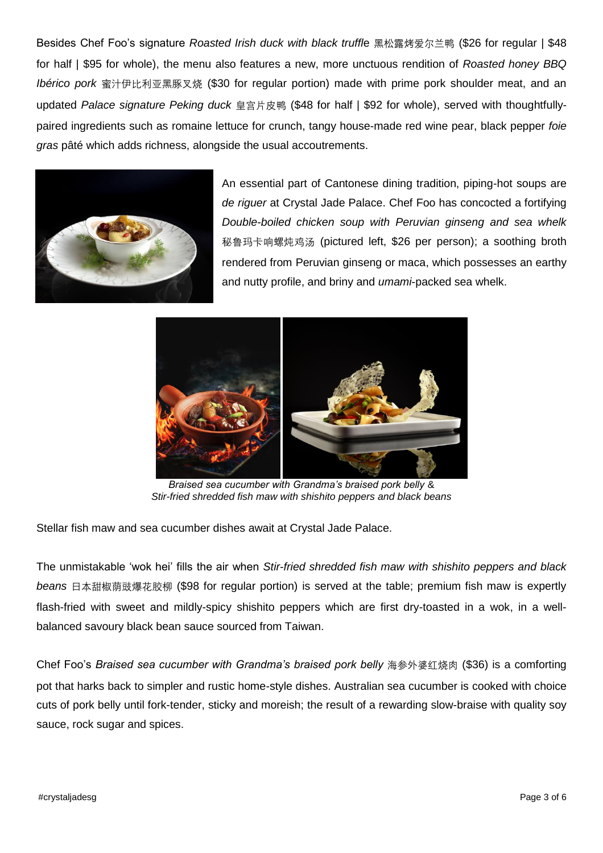Besides Chef Foo's signature *Roasted Irish duck with black truffl*e 黑松露烤爱尔兰鸭 (\$26 for regular | \$48 for half | \$95 for whole), the menu also features a new, more unctuous rendition of *Roasted honey BBQ Ibérico pork* 蜜汁伊比利亚黑豚叉烧 (\$30 for regular portion) made with prime pork shoulder meat, and an updated *Palace signature Peking duck* 皇宫片皮鸭 (\$48 for half | \$92 for whole), served with thoughtfullypaired ingredients such as romaine lettuce for crunch, tangy house-made red wine pear, black pepper *foie gras* pâté which adds richness, alongside the usual accoutrements.



An essential part of Cantonese dining tradition, piping-hot soups are *de riguer* at Crystal Jade Palace. Chef Foo has concocted a fortifying *Double-boiled chicken soup with Peruvian ginseng and sea whelk* 秘鲁玛卡响螺炖鸡汤 (pictured left, \$26 per person); a soothing broth rendered from Peruvian ginseng or maca, which possesses an earthy and nutty profile, and briny and *umami*-packed sea whelk.



*Braised sea cucumber with Grandma's braised pork belly* & *Stir-fried shredded fish maw with shishito peppers and black beans*

Stellar fish maw and sea cucumber dishes await at Crystal Jade Palace.

The unmistakable 'wok hei' fills the air when *Stir-fried shredded fish maw with shishito peppers and black beans* 日本甜椒荫豉爆花胶柳 (\$98 for regular portion) is served at the table; premium fish maw is expertly flash-fried with sweet and mildly-spicy shishito peppers which are first dry-toasted in a wok, in a wellbalanced savoury black bean sauce sourced from Taiwan.

Chef Foo's *Braised sea cucumber with Grandma's braised pork belly* 海参外婆红烧肉 (\$36) is a comforting pot that harks back to simpler and rustic home-style dishes. Australian sea cucumber is cooked with choice cuts of pork belly until fork-tender, sticky and moreish; the result of a rewarding slow-braise with quality soy sauce, rock sugar and spices.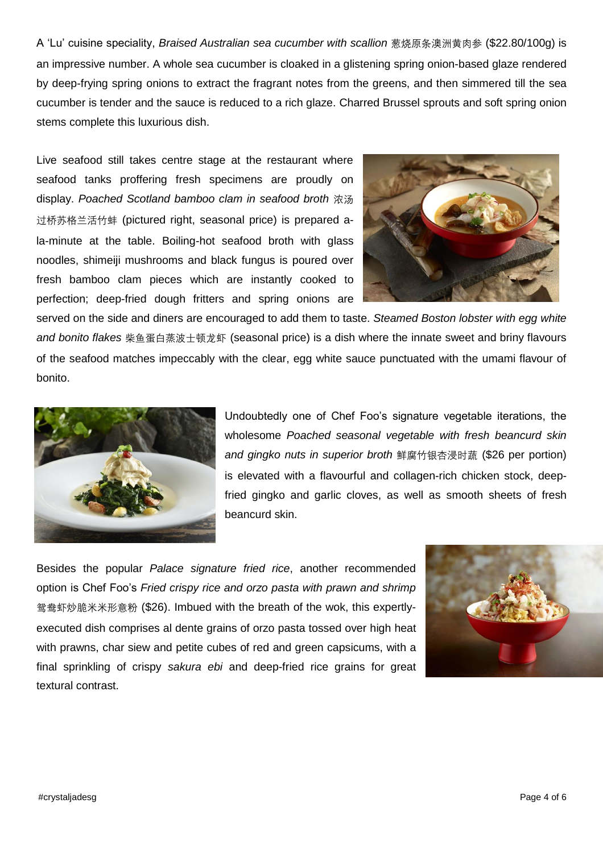A 'Lu' cuisine speciality, *Braised Australian sea cucumber with scallion* 葱烧原条澳洲黄肉参 (\$22.80/100g) is an impressive number. A whole sea cucumber is cloaked in a glistening spring onion-based glaze rendered by deep-frying spring onions to extract the fragrant notes from the greens, and then simmered till the sea cucumber is tender and the sauce is reduced to a rich glaze. Charred Brussel sprouts and soft spring onion stems complete this luxurious dish.

Live seafood still takes centre stage at the restaurant where seafood tanks proffering fresh specimens are proudly on display. *Poached Scotland bamboo clam in seafood broth* 浓汤 过桥苏格兰活竹蚌 (pictured right, seasonal price) is prepared ala-minute at the table. Boiling-hot seafood broth with glass noodles, shimeiji mushrooms and black fungus is poured over fresh bamboo clam pieces which are instantly cooked to perfection; deep-fried dough fritters and spring onions are



served on the side and diners are encouraged to add them to taste. *Steamed Boston lobster with egg white and bonito flakes* 柴鱼蛋白蒸波士顿龙虾 (seasonal price) is a dish where the innate sweet and briny flavours of the seafood matches impeccably with the clear, egg white sauce punctuated with the umami flavour of bonito.



Undoubtedly one of Chef Foo's signature vegetable iterations, the wholesome *Poached seasonal vegetable with fresh beancurd skin and gingko nuts in superior broth* 鲜腐竹银杏浸时蔬 (\$26 per portion) is elevated with a flavourful and collagen-rich chicken stock, deepfried gingko and garlic cloves, as well as smooth sheets of fresh beancurd skin.

Besides the popular *Palace signature fried rice*, another recommended option is Chef Foo's *Fried crispy rice and orzo pasta with prawn and shrimp* 鸳鸯虾炒脆米米形意粉 (\$26). Imbued with the breath of the wok, this expertlyexecuted dish comprises al dente grains of orzo pasta tossed over high heat with prawns, char siew and petite cubes of red and green capsicums, with a final sprinkling of crispy *sakura ebi* and deep-fried rice grains for great textural contrast.

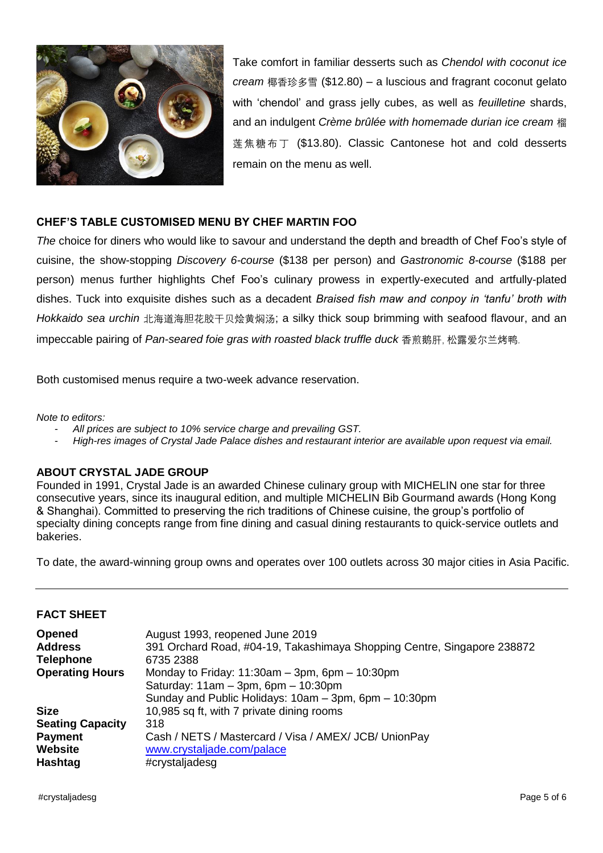

Take comfort in familiar desserts such as *Chendol with coconut ice cream* 椰香珍多雪 (\$12.80) – a luscious and fragrant coconut gelato with 'chendol' and grass jelly cubes, as well as *feuilletine* shards, and an indulgent *Crème brûlée with homemade durian ice cream* 榴 莲焦糖布丁 (\$13.80). Classic Cantonese hot and cold desserts remain on the menu as well.

## **CHEF'S TABLE CUSTOMISED MENU BY CHEF MARTIN FOO**

*The* choice for diners who would like to savour and understand the depth and breadth of Chef Foo's style of cuisine, the show-stopping *Discovery 6-course* (\$138 per person) and *Gastronomic 8-course* (\$188 per person) menus further highlights Chef Foo's culinary prowess in expertly-executed and artfully-plated dishes. Tuck into exquisite dishes such as a decadent *Braised fish maw and conpoy in 'tanfu' broth with Hokkaido sea urchin* 北海道海胆花胶干贝烩黄焖汤; a silky thick soup brimming with seafood flavour, and an impeccable pairing of *Pan-seared foie gras with roasted black truffle duck* 香煎鹅肝, 松露爱尔兰烤鸭.

Both customised menus require a two-week advance reservation.

*Note to editors:* 

- *All prices are subject to 10% service charge and prevailing GST.*
- *High-res images of Crystal Jade Palace dishes and restaurant interior are available upon request via email.*

#### **ABOUT CRYSTAL JADE GROUP**

Founded in 1991, Crystal Jade is an awarded Chinese culinary group with MICHELIN one star for three consecutive years, since its inaugural edition, and multiple MICHELIN Bib Gourmand awards (Hong Kong & Shanghai). Committed to preserving the rich traditions of Chinese cuisine, the group's portfolio of specialty dining concepts range from fine dining and casual dining restaurants to quick-service outlets and bakeries.

To date, the award-winning group owns and operates over 100 outlets across 30 major cities in Asia Pacific.

#### **FACT SHEET**

| <b>Opened</b><br><b>Address</b><br><b>Telephone</b> | August 1993, reopened June 2019<br>391 Orchard Road, #04-19, Takashimaya Shopping Centre, Singapore 238872<br>6735 2388                                  |
|-----------------------------------------------------|----------------------------------------------------------------------------------------------------------------------------------------------------------|
| <b>Operating Hours</b>                              | Monday to Friday: $11:30am - 3pm$ , 6pm $- 10:30pm$<br>Saturday: $11am - 3pm$ , 6pm $- 10:30pm$<br>Sunday and Public Holidays: 10am - 3pm, 6pm - 10:30pm |
| <b>Size</b>                                         | 10,985 sq ft, with 7 private dining rooms                                                                                                                |
| <b>Seating Capacity</b>                             | 318                                                                                                                                                      |
| <b>Payment</b>                                      | Cash / NETS / Mastercard / Visa / AMEX/ JCB/ UnionPay                                                                                                    |
| <b>Website</b>                                      | www.crystaljade.com/palace                                                                                                                               |
| Hashtag                                             | #crystaljadesg                                                                                                                                           |